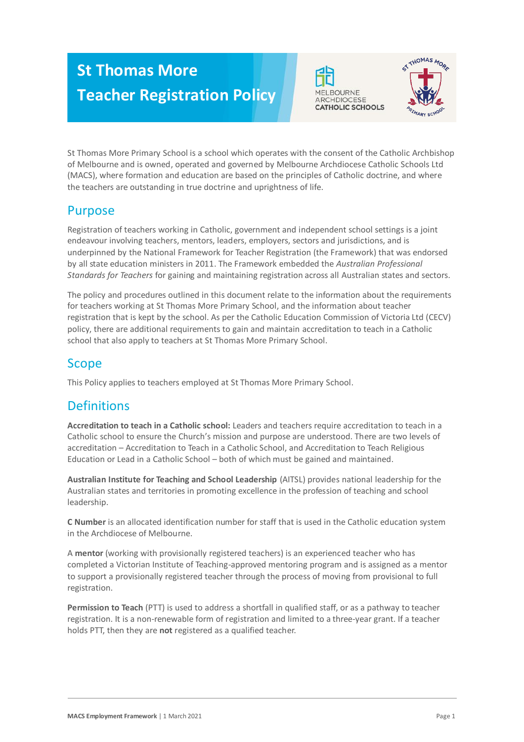# **St Thomas More Teacher Registration Policy**





St Thomas More Primary School is a school which operates with the consent of the Catholic Archbishop of Melbourne and is owned, operated and governed by Melbourne Archdiocese Catholic Schools Ltd (MACS), where formation and education are based on the principles of Catholic doctrine, and where the teachers are outstanding in true doctrine and uprightness of life.

## Purpose

Registration of teachers working in Catholic, government and independent school settings is a joint endeavour involving teachers, mentors, leaders, employers, sectors and jurisdictions, and is underpinned by the National Framework for Teacher Registration (the Framework) that was endorsed by all state education ministers in 2011. The Framework embedded the *Australian Professional Standards for Teachers* for gaining and maintaining registration across all Australian states and sectors.

The policy and procedures outlined in this document relate to the information about the requirements for teachers working at St Thomas More Primary School, and the information about teacher registration that is kept by the school. As per the Catholic Education Commission of Victoria Ltd (CECV) policy, there are additional requirements to gain and maintain accreditation to teach in a Catholic school that also apply to teachers at St Thomas More Primary School.

# Scope

This Policy applies to teachers employed at St Thomas More Primary School.

# **Definitions**

**Accreditation to teach in a Catholic school:** Leaders and teachers require accreditation to teach in a Catholic school to ensure the Church's mission and purpose are understood. There are two levels of accreditation – Accreditation to Teach in a Catholic School, and Accreditation to Teach Religious Education or Lead in a Catholic School – both of which must be gained and maintained.

**Australian Institute for Teaching and School Leadership** (AITSL) provides national leadership for the Australian states and territories in promoting excellence in the profession of teaching and school leadership.

**C Number** is an allocated identification number for staff that is used in the Catholic education system in the Archdiocese of Melbourne.

A **mentor** (working with provisionally registered teachers) is an experienced teacher who has completed a Victorian Institute of Teaching-approved mentoring program and is assigned as a mentor to support a provisionally registered teacher through the process of moving from provisional to full registration.

**Permission to Teach** (PTT) is used to address a shortfall in qualified staff, or as a pathway to teacher registration. It is a non-renewable form of registration and limited to a three-year grant. If a teacher holds PTT, then they are **not** registered as a qualified teacher.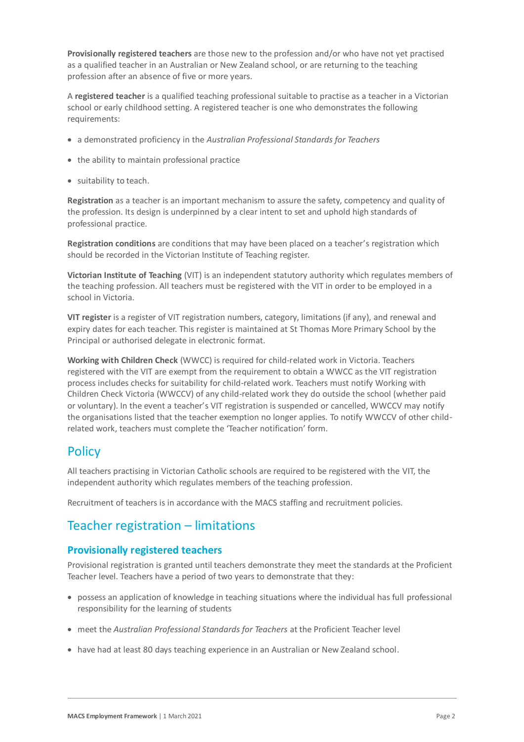**Provisionally registered teachers** are those new to the profession and/or who have not yet practised as a qualified teacher in an Australian or New Zealand school, or are returning to the teaching profession after an absence of five or more years.

A **registered teacher** is a qualified teaching professional suitable to practise as a teacher in a Victorian school or early childhood setting. A registered teacher is one who demonstrates the following requirements:

- a demonstrated proficiency in the *Australian Professional Standards for Teachers*
- the ability to maintain professional practice
- suitability to teach.

**Registration** as a teacher is an important mechanism to assure the safety, competency and quality of the profession. Its design is underpinned by a clear intent to set and uphold high standards of professional practice.

**Registration conditions** are conditions that may have been placed on a teacher's registration which should be recorded in the Victorian Institute of Teaching register.

**Victorian Institute of Teaching** (VIT) is an independent statutory authority which regulates members of the teaching profession. All teachers must be registered with the VIT in order to be employed in a school in Victoria.

**VIT register** is a register of VIT registration numbers, category, limitations (if any), and renewal and expiry dates for each teacher. This register is maintained at St Thomas More Primary School by the Principal or authorised delegate in electronic format.

**Working with Children Check** (WWCC) is required for child-related work in Victoria. Teachers registered with the VIT are exempt from the requirement to obtain a WWCC as the VIT registration process includes checks for suitability for child-related work. Teachers must notify Working with Children Check Victoria (WWCCV) of any child-related work they do outside the school (whether paid or voluntary). In the event a teacher's VIT registration is suspended or cancelled, WWCCV may notify the organisations listed that the teacher exemption no longer applies. To notify WWCCV of other childrelated work, teachers must complete the 'Teacher notification' form.

## **Policy**

All teachers practising in Victorian Catholic schools are required to be registered with the VIT, the independent authority which regulates members of the teaching profession.

Recruitment of teachers is in accordance with the MACS staffing and recruitment policies.

## Teacher registration – limitations

#### **Provisionally registered teachers**

Provisional registration is granted until teachers demonstrate they meet the standards at the Proficient Teacher level. Teachers have a period of two years to demonstrate that they:

- possess an application of knowledge in teaching situations where the individual has full professional responsibility for the learning of students
- meet the *Australian Professional Standards for Teachers* at the Proficient Teacher level
- have had at least 80 days teaching experience in an Australian or New Zealand school.